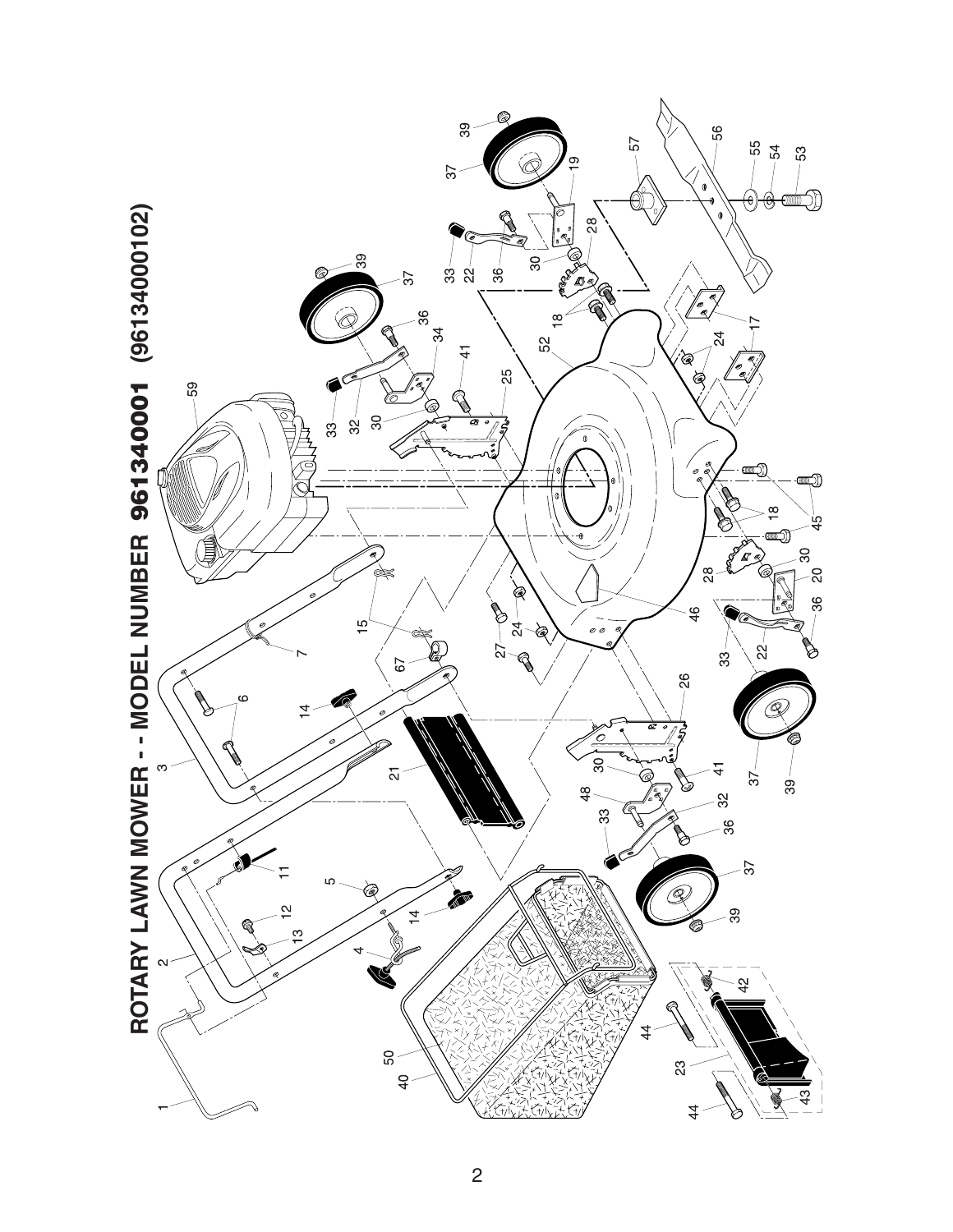